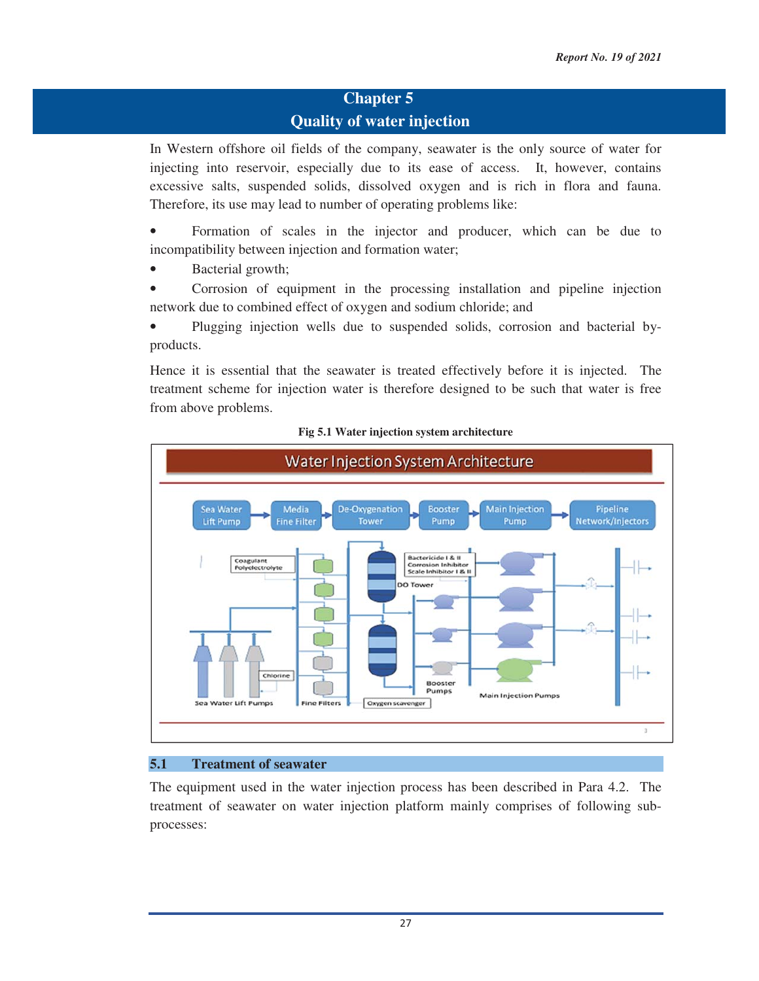# **Chapter 5 Quality of water injection**

In Western offshore oil fields of the company, seawater is the only source of water for injecting into reservoir, especially due to its ease of access. It, however, contains excessive salts, suspended solids, dissolved oxygen and is rich in flora and fauna. Therefore, its use may lead to number of operating problems like:

• Formation of scales in the injector and producer, which can be due to incompatibility between injection and formation water;

Bacterial growth;

• Corrosion of equipment in the processing installation and pipeline injection network due to combined effect of oxygen and sodium chloride; and

• Plugging injection wells due to suspended solids, corrosion and bacterial byproducts.

Hence it is essential that the seawater is treated effectively before it is injected. The treatment scheme for injection water is therefore designed to be such that water is free from above problems.





#### **5.1 Treatment of seawater**

The equipment used in the water injection process has been described in Para 4.2. The treatment of seawater on water injection platform mainly comprises of following subprocesses: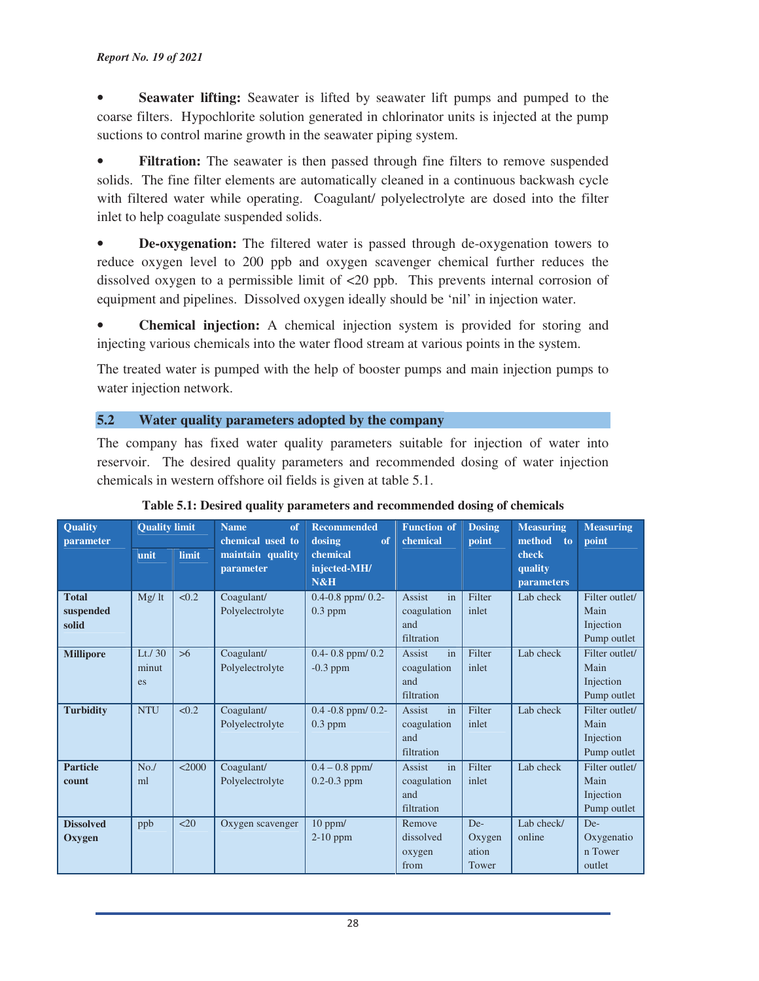#### *Report No. 19 of 2021*

• **Seawater lifting:** Seawater is lifted by seawater lift pumps and pumped to the coarse filters. Hypochlorite solution generated in chlorinator units is injected at the pump suctions to control marine growth in the seawater piping system.

• **Filtration:** The seawater is then passed through fine filters to remove suspended solids. The fine filter elements are automatically cleaned in a continuous backwash cycle with filtered water while operating. Coagulant/ polyelectrolyte are dosed into the filter inlet to help coagulate suspended solids.

• **De-oxygenation:** The filtered water is passed through de-oxygenation towers to reduce oxygen level to 200 ppb and oxygen scavenger chemical further reduces the dissolved oxygen to a permissible limit of <20 ppb. This prevents internal corrosion of equipment and pipelines. Dissolved oxygen ideally should be 'nil' in injection water.

• **Chemical injection:** A chemical injection system is provided for storing and injecting various chemicals into the water flood stream at various points in the system.

The treated water is pumped with the help of booster pumps and main injection pumps to water injection network.

#### **5.2 Water quality parameters adopted by the company**

The company has fixed water quality parameters suitable for injection of water into reservoir. The desired quality parameters and recommended dosing of water injection chemicals in western offshore oil fields is given at table 5.1.

| Quality<br>parameter               | <b>Quality limit</b>     |        | <b>Recommended</b><br><b>Name</b><br>of<br>chemical used to<br>dosing |                                       | <b>Function of</b><br>chemical                          | <b>Dosing</b><br>point          | <b>Measuring</b><br>method to         | <b>Measuring</b><br>point                          |
|------------------------------------|--------------------------|--------|-----------------------------------------------------------------------|---------------------------------------|---------------------------------------------------------|---------------------------------|---------------------------------------|----------------------------------------------------|
|                                    | unit                     | limit  | maintain quality<br>parameter                                         | chemical<br>injected-MH/<br>N&H       |                                                         |                                 | check<br>quality<br><b>parameters</b> |                                                    |
| <b>Total</b><br>suspended<br>solid | Mg/It                    | < 0.2  | Coagulant/<br>Polyelectrolyte                                         | $0.4 - 0.8$ ppm/ $0.2 -$<br>$0.3$ ppm | Assist<br>in<br>coagulation<br>and<br>filtration        | Filter<br>inlet                 | Lab check                             | Filter outlet/<br>Main<br>Injection<br>Pump outlet |
| <b>Millipore</b>                   | Lt. $/30$<br>minut<br>es | >6     | Coagulant/<br>Polyelectrolyte                                         | $0.4 - 0.8$ ppm/ $0.2$<br>$-0.3$ ppm  | Assist<br>in<br>coagulation<br>and<br>filtration        | Filter<br>inlet                 | Lab check                             | Filter outlet/<br>Main<br>Injection<br>Pump outlet |
| <b>Turbidity</b>                   | <b>NTU</b>               | < 0.2  | Coagulant/<br>Polyelectrolyte                                         | $0.4 - 0.8$ ppm/ $0.2$ -<br>$0.3$ ppm | Assist<br>in<br>coagulation<br>and<br>filtration        | Filter<br>inlet                 | Lab check                             | Filter outlet/<br>Main<br>Injection<br>Pump outlet |
| <b>Particle</b><br>count           | No.<br>ml                | < 2000 | Coagulant/<br>Polyelectrolyte                                         | $0.4 - 0.8$ ppm/<br>$0.2 - 0.3$ ppm   | <b>Assist</b><br>in<br>coagulation<br>and<br>filtration | Filter<br>inlet                 | Lab check                             | Filter outlet/<br>Main<br>Injection<br>Pump outlet |
| <b>Dissolved</b><br>Oxygen         | ppb                      | $20$   | Oxygen scavenger                                                      | $10$ ppm/<br>2-10 ppm                 | Remove<br>dissolved<br>oxygen<br>from                   | De-<br>Oxygen<br>ation<br>Tower | Lab check/<br>online                  | De-<br>Oxygenatio<br>n Tower<br>outlet             |

#### **Table 5.1: Desired quality parameters and recommended dosing of chemicals**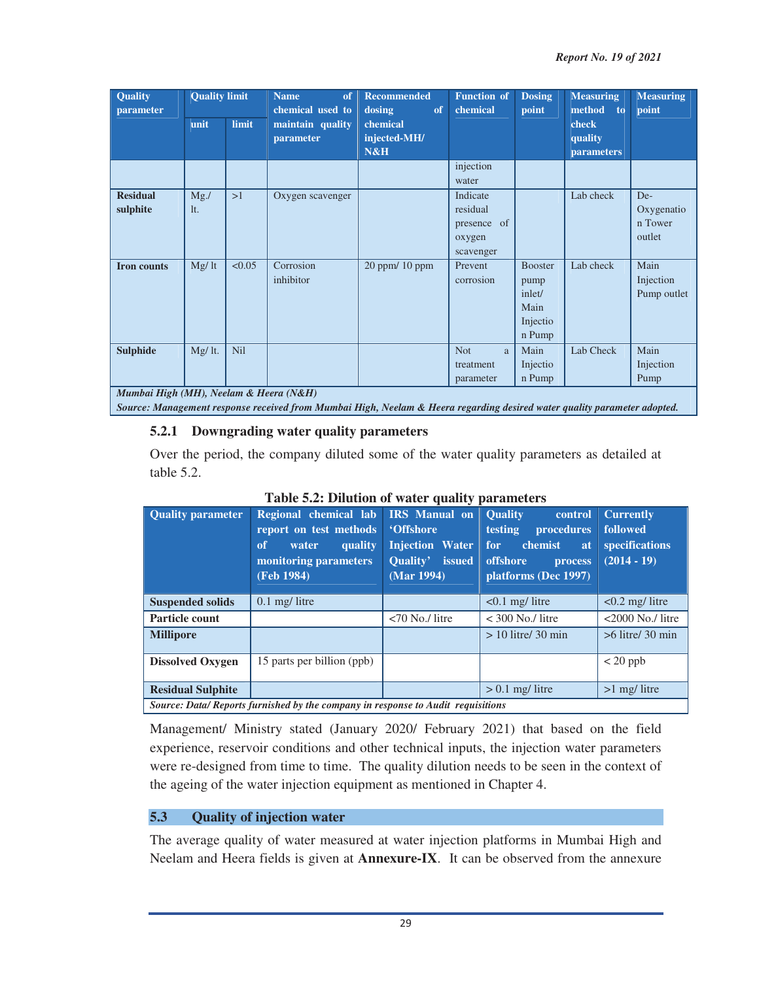| Quality<br>parameter                   | <b>Quality limit</b> |        | <b>Name</b><br>of<br>chemical used to | <b>Recommended</b><br>dosing<br>of | <b>Function of</b><br>chemical                             | <b>Dosing</b><br>point                                         | <b>Measuring</b><br>method to         | <b>Measuring</b><br>point              |
|----------------------------------------|----------------------|--------|---------------------------------------|------------------------------------|------------------------------------------------------------|----------------------------------------------------------------|---------------------------------------|----------------------------------------|
|                                        | unit                 | limit  | maintain quality<br>parameter         | chemical<br>injected-MH/<br>N&H    |                                                            |                                                                | check<br>quality<br><b>parameters</b> |                                        |
|                                        |                      |        |                                       |                                    | injection<br>water                                         |                                                                |                                       |                                        |
| <b>Residual</b><br>sulphite            | $Mg$ ./<br>It.       | >1     | Oxygen scavenger                      |                                    | Indicate<br>residual<br>presence of<br>oxygen<br>scavenger |                                                                | Lab check                             | De-<br>Oxygenatio<br>n Tower<br>outlet |
| <b>Iron counts</b>                     | Mg/It                | < 0.05 | Corrosion<br>inhibitor                | $20$ ppm $/10$ ppm                 | Prevent<br>corrosion                                       | <b>Booster</b><br>pump<br>inlet/<br>Main<br>Injectio<br>n Pump | Lab check                             | Main<br>Injection<br>Pump outlet       |
| <b>Sulphide</b>                        | Mg/ lt.              | Nil    |                                       |                                    | <b>Not</b><br>a<br>treatment<br>parameter                  | Main<br>Injectio<br>n Pump                                     | Lab Check                             | Main<br>Injection<br>Pump              |
| Mumbai High (MH), Neelam & Heera (N&H) |                      |        |                                       |                                    |                                                            |                                                                |                                       |                                        |

#### *Source: Management response received from Mumbai High, Neelam & Heera regarding desired water quality parameter adopted.*

## **5.2.1 Downgrading water quality parameters**

Over the period, the company diluted some of the water quality parameters as detailed at table 5.2.

| <b>Quality parameter</b>                                                         | Regional chemical lab IRS Manual on<br>report on test methods<br>of<br>quality<br>water<br>monitoring parameters<br>(Feb 1984) | <b>'Offshore</b><br><b>Injection Water</b><br><b>Ouality'</b> issued<br>(Mar 1994) | <b>Ouality</b><br>control<br><b>procedures</b><br>testing<br>for<br>chemist<br>at<br>offshore<br>process<br>platforms (Dec 1997) | <b>Currently</b><br>followed<br>specifications<br>$(2014 - 19)$ |  |  |  |
|----------------------------------------------------------------------------------|--------------------------------------------------------------------------------------------------------------------------------|------------------------------------------------------------------------------------|----------------------------------------------------------------------------------------------------------------------------------|-----------------------------------------------------------------|--|--|--|
| <b>Suspended solids</b>                                                          | $0.1 \text{ mg}/$ litre                                                                                                        |                                                                                    | $< 0.1$ mg/ litre                                                                                                                | $< 0.2$ mg/ litre                                               |  |  |  |
| Particle count                                                                   |                                                                                                                                | $<$ 70 No./ litre                                                                  | $<$ 300 No./ litre                                                                                                               | $<$ 2000 No./ litre                                             |  |  |  |
| <b>Millipore</b>                                                                 |                                                                                                                                |                                                                                    | $> 10$ litre/ 30 min                                                                                                             | $>6$ litre/ 30 min                                              |  |  |  |
| <b>Dissolved Oxygen</b>                                                          | 15 parts per billion (ppb)                                                                                                     |                                                                                    |                                                                                                                                  | $< 20$ ppb                                                      |  |  |  |
| <b>Residual Sulphite</b>                                                         |                                                                                                                                |                                                                                    | $> 0.1$ mg/ litre                                                                                                                | $>1$ mg/ litre                                                  |  |  |  |
| Source: Data/ Reports furnished by the company in response to Audit requisitions |                                                                                                                                |                                                                                    |                                                                                                                                  |                                                                 |  |  |  |

### **Table 5.2: Dilution of water quality parameters**

Management/ Ministry stated (January 2020/ February 2021) that based on the field experience, reservoir conditions and other technical inputs, the injection water parameters were re-designed from time to time. The quality dilution needs to be seen in the context of the ageing of the water injection equipment as mentioned in Chapter 4.

# **5.3 Quality of injection water**

The average quality of water measured at water injection platforms in Mumbai High and Neelam and Heera fields is given at **Annexure-IX**. It can be observed from the annexure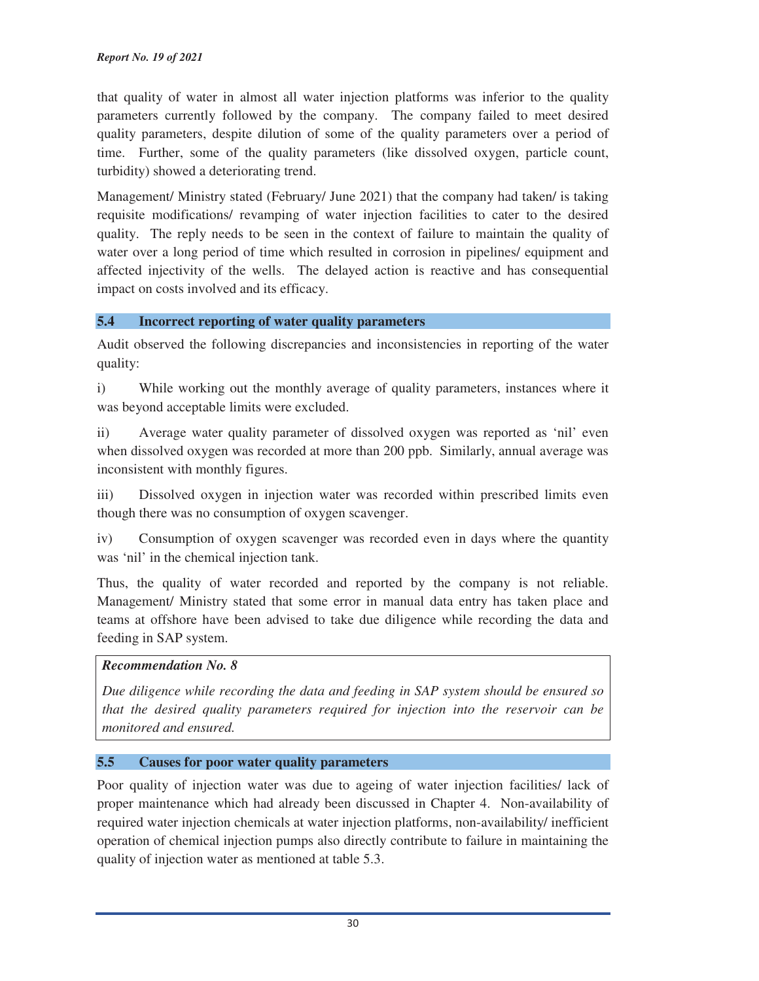that quality of water in almost all water injection platforms was inferior to the quality parameters currently followed by the company. The company failed to meet desired quality parameters, despite dilution of some of the quality parameters over a period of time. Further, some of the quality parameters (like dissolved oxygen, particle count, turbidity) showed a deteriorating trend.

Management/ Ministry stated (February/ June 2021) that the company had taken/ is taking requisite modifications/ revamping of water injection facilities to cater to the desired quality. The reply needs to be seen in the context of failure to maintain the quality of water over a long period of time which resulted in corrosion in pipelines/ equipment and affected injectivity of the wells. The delayed action is reactive and has consequential impact on costs involved and its efficacy.

## **5.4 Incorrect reporting of water quality parameters**

Audit observed the following discrepancies and inconsistencies in reporting of the water quality:

i) While working out the monthly average of quality parameters, instances where it was beyond acceptable limits were excluded.

ii) Average water quality parameter of dissolved oxygen was reported as 'nil' even when dissolved oxygen was recorded at more than 200 ppb. Similarly, annual average was inconsistent with monthly figures.

iii) Dissolved oxygen in injection water was recorded within prescribed limits even though there was no consumption of oxygen scavenger.

iv) Consumption of oxygen scavenger was recorded even in days where the quantity was 'nil' in the chemical injection tank.

Thus, the quality of water recorded and reported by the company is not reliable. Management/ Ministry stated that some error in manual data entry has taken place and teams at offshore have been advised to take due diligence while recording the data and feeding in SAP system.

## *Recommendation No. 8*

*Due diligence while recording the data and feeding in SAP system should be ensured so that the desired quality parameters required for injection into the reservoir can be monitored and ensured.*

## **5.5 Causes for poor water quality parameters**

Poor quality of injection water was due to ageing of water injection facilities/ lack of proper maintenance which had already been discussed in Chapter 4. Non-availability of required water injection chemicals at water injection platforms, non-availability/ inefficient operation of chemical injection pumps also directly contribute to failure in maintaining the quality of injection water as mentioned at table 5.3.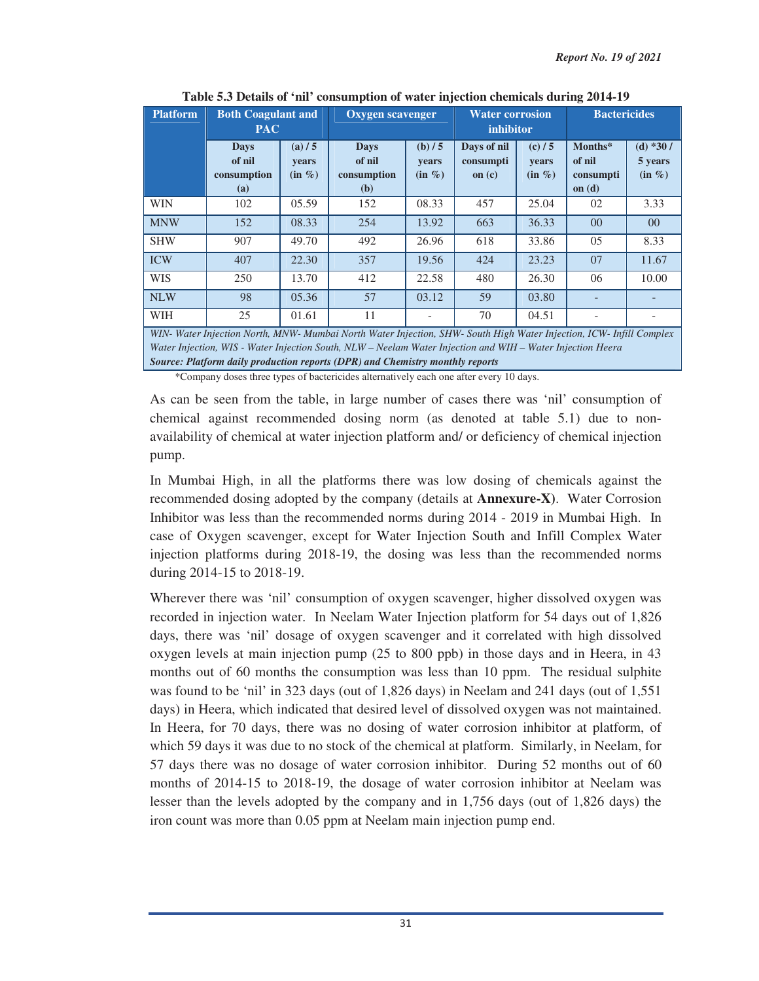| <b>Platform</b> | <b>Both Coagulant and</b><br><b>PAC</b>     |                                    | <b>Oxygen scavenger</b>                              |                               | <b>Water corrosion</b><br>inhibitor  |                             | <b>Bactericides</b>                        |                                    |
|-----------------|---------------------------------------------|------------------------------------|------------------------------------------------------|-------------------------------|--------------------------------------|-----------------------------|--------------------------------------------|------------------------------------|
|                 | <b>Days</b><br>of nil<br>consumption<br>(a) | (a)/5<br><b>vears</b><br>$(in \%)$ | <b>Days</b><br>of nil<br>consumption<br>( <b>b</b> ) | (b) / 5<br>years<br>$(in \%)$ | Days of nil<br>consumpti<br>on $(c)$ | (c)/5<br>years<br>$(in \%)$ | Months*<br>of nil<br>consumpti<br>on $(d)$ | (d) $*30/$<br>5 years<br>$(in \%)$ |
| <b>WIN</b>      | 102                                         | 05.59                              | 152                                                  | 08.33                         | 457                                  | 25.04                       | 02                                         | 3.33                               |
| <b>MNW</b>      | 152                                         | 08.33                              | 254                                                  | 13.92                         | 663                                  | 36.33                       | $00\,$                                     | $00\,$                             |
| <b>SHW</b>      | 907                                         | 49.70                              | 492                                                  | 26.96                         | 618                                  | 33.86                       | 05                                         | 8.33                               |
| <b>ICW</b>      | 407                                         | 22.30                              | 357                                                  | 19.56                         | 424                                  | 23.23                       | 07                                         | 11.67                              |
| <b>WIS</b>      | 250                                         | 13.70                              | 412                                                  | 22.58                         | 480                                  | 26.30                       | 06                                         | 10.00                              |
| <b>NLW</b>      | 98                                          | 05.36                              | 57                                                   | 03.12                         | 59                                   | 03.80                       |                                            |                                    |
| <b>WIH</b>      | 25                                          | 01.61                              | 11                                                   |                               | 70                                   | 04.51                       |                                            |                                    |

**Table 5.3 Details of 'nil' consumption of water injection chemicals during 2014-19** 

*WIN- Water Injection North, MNW- Mumbai North Water Injection, SHW- South High Water Injection, ICW- Infill Complex Water Injection, WIS - Water Injection South, NLW – Neelam Water Injection and WIH – Water Injection Heera Source: Platform daily production reports (DPR) and Chemistry monthly reports*

\*Company doses three types of bactericides alternatively each one after every 10 days.

As can be seen from the table, in large number of cases there was 'nil' consumption of chemical against recommended dosing norm (as denoted at table 5.1) due to nonavailability of chemical at water injection platform and/ or deficiency of chemical injection pump.

In Mumbai High, in all the platforms there was low dosing of chemicals against the recommended dosing adopted by the company (details at **Annexure-X)**. Water Corrosion Inhibitor was less than the recommended norms during 2014 - 2019 in Mumbai High. In case of Oxygen scavenger, except for Water Injection South and Infill Complex Water injection platforms during 2018-19, the dosing was less than the recommended norms during 2014-15 to 2018-19.

Wherever there was 'nil' consumption of oxygen scavenger, higher dissolved oxygen was recorded in injection water. In Neelam Water Injection platform for 54 days out of 1,826 days, there was 'nil' dosage of oxygen scavenger and it correlated with high dissolved oxygen levels at main injection pump (25 to 800 ppb) in those days and in Heera, in 43 months out of 60 months the consumption was less than 10 ppm. The residual sulphite was found to be 'nil' in 323 days (out of 1,826 days) in Neelam and 241 days (out of 1,551 days) in Heera, which indicated that desired level of dissolved oxygen was not maintained. In Heera, for 70 days, there was no dosing of water corrosion inhibitor at platform, of which 59 days it was due to no stock of the chemical at platform. Similarly, in Neelam, for 57 days there was no dosage of water corrosion inhibitor. During 52 months out of 60 months of 2014-15 to 2018-19, the dosage of water corrosion inhibitor at Neelam was lesser than the levels adopted by the company and in 1,756 days (out of 1,826 days) the iron count was more than 0.05 ppm at Neelam main injection pump end.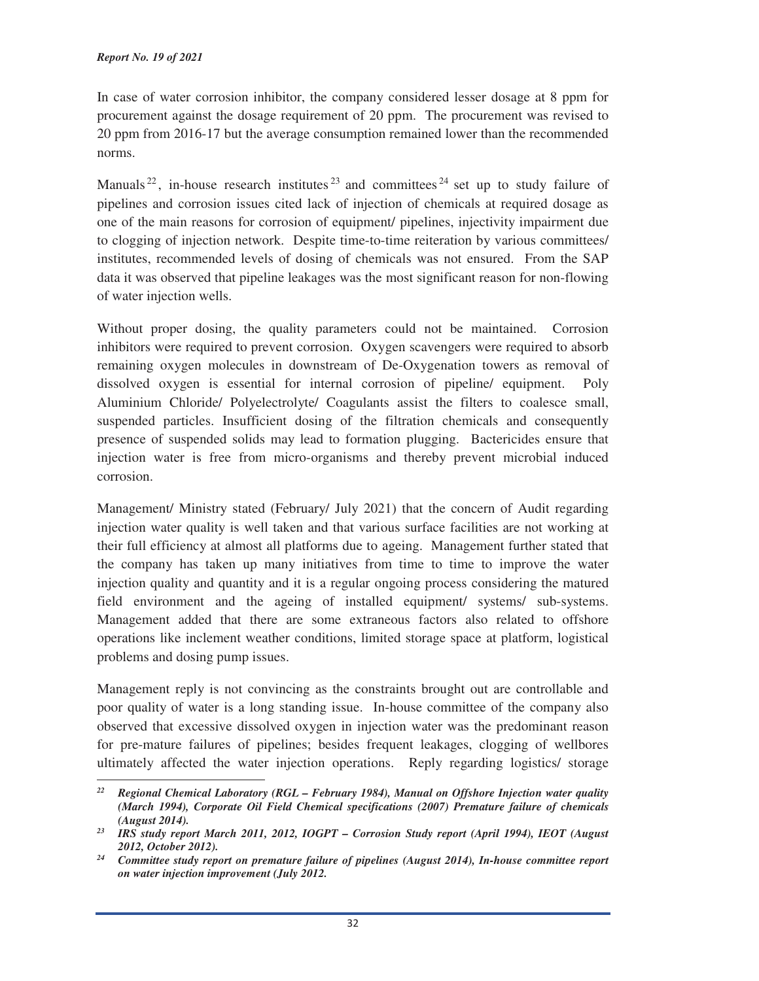In case of water corrosion inhibitor, the company considered lesser dosage at 8 ppm for procurement against the dosage requirement of 20 ppm. The procurement was revised to 20 ppm from 2016-17 but the average consumption remained lower than the recommended norms.

Manuals<sup>22</sup>, in-house research institutes<sup>23</sup> and committees<sup>24</sup> set up to study failure of pipelines and corrosion issues cited lack of injection of chemicals at required dosage as one of the main reasons for corrosion of equipment/ pipelines, injectivity impairment due to clogging of injection network. Despite time-to-time reiteration by various committees/ institutes, recommended levels of dosing of chemicals was not ensured. From the SAP data it was observed that pipeline leakages was the most significant reason for non-flowing of water injection wells.

Without proper dosing, the quality parameters could not be maintained. Corrosion inhibitors were required to prevent corrosion. Oxygen scavengers were required to absorb remaining oxygen molecules in downstream of De-Oxygenation towers as removal of dissolved oxygen is essential for internal corrosion of pipeline/ equipment. Poly Aluminium Chloride/ Polyelectrolyte/ Coagulants assist the filters to coalesce small, suspended particles. Insufficient dosing of the filtration chemicals and consequently presence of suspended solids may lead to formation plugging. Bactericides ensure that injection water is free from micro-organisms and thereby prevent microbial induced corrosion.

Management/ Ministry stated (February/ July 2021) that the concern of Audit regarding injection water quality is well taken and that various surface facilities are not working at their full efficiency at almost all platforms due to ageing. Management further stated that the company has taken up many initiatives from time to time to improve the water injection quality and quantity and it is a regular ongoing process considering the matured field environment and the ageing of installed equipment/ systems/ sub-systems. Management added that there are some extraneous factors also related to offshore operations like inclement weather conditions, limited storage space at platform, logistical problems and dosing pump issues.

Management reply is not convincing as the constraints brought out are controllable and poor quality of water is a long standing issue. In-house committee of the company also observed that excessive dissolved oxygen in injection water was the predominant reason for pre-mature failures of pipelines; besides frequent leakages, clogging of wellbores ultimately affected the water injection operations. Reply regarding logistics/ storage

<sup>&</sup>lt;u> 1989 - Johann Barn, mars eta bainar eta industrial eta bainar eta baina eta baina eta baina eta baina eta ba</u> *<sup>22</sup> Regional Chemical Laboratory (RGL – February 1984), Manual on Offshore Injection water quality (March 1994), Corporate Oil Field Chemical specifications (2007) Premature failure of chemicals* 

*<sup>(</sup>August 2014). 23 IRS study report March 2011, 2012, IOGPT – Corrosion Study report (April 1994), IEOT (August 2012, October 2012). 24 Committee study report on premature failure of pipelines (August 2014), In-house committee report* 

*on water injection improvement (July 2012.*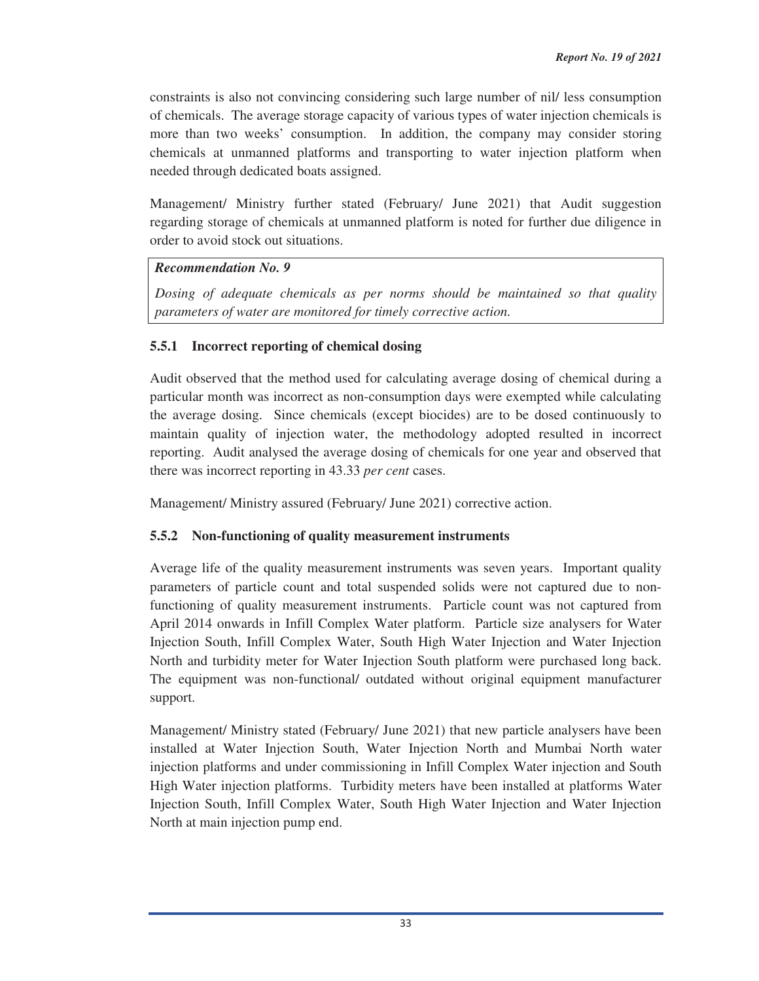constraints is also not convincing considering such large number of nil/ less consumption of chemicals. The average storage capacity of various types of water injection chemicals is more than two weeks' consumption. In addition, the company may consider storing chemicals at unmanned platforms and transporting to water injection platform when needed through dedicated boats assigned.

Management/ Ministry further stated (February/ June 2021) that Audit suggestion regarding storage of chemicals at unmanned platform is noted for further due diligence in order to avoid stock out situations.

# *Recommendation No. 9*

*Dosing of adequate chemicals as per norms should be maintained so that quality parameters of water are monitored for timely corrective action.* 

# **5.5.1 Incorrect reporting of chemical dosing**

Audit observed that the method used for calculating average dosing of chemical during a particular month was incorrect as non-consumption days were exempted while calculating the average dosing. Since chemicals (except biocides) are to be dosed continuously to maintain quality of injection water, the methodology adopted resulted in incorrect reporting. Audit analysed the average dosing of chemicals for one year and observed that there was incorrect reporting in 43.33 *per cent* cases.

Management/ Ministry assured (February/ June 2021) corrective action.

# **5.5.2 Non-functioning of quality measurement instruments**

Average life of the quality measurement instruments was seven years. Important quality parameters of particle count and total suspended solids were not captured due to nonfunctioning of quality measurement instruments. Particle count was not captured from April 2014 onwards in Infill Complex Water platform. Particle size analysers for Water Injection South, Infill Complex Water, South High Water Injection and Water Injection North and turbidity meter for Water Injection South platform were purchased long back. The equipment was non-functional/ outdated without original equipment manufacturer support.

Management/ Ministry stated (February/ June 2021) that new particle analysers have been installed at Water Injection South, Water Injection North and Mumbai North water injection platforms and under commissioning in Infill Complex Water injection and South High Water injection platforms. Turbidity meters have been installed at platforms Water Injection South, Infill Complex Water, South High Water Injection and Water Injection North at main injection pump end.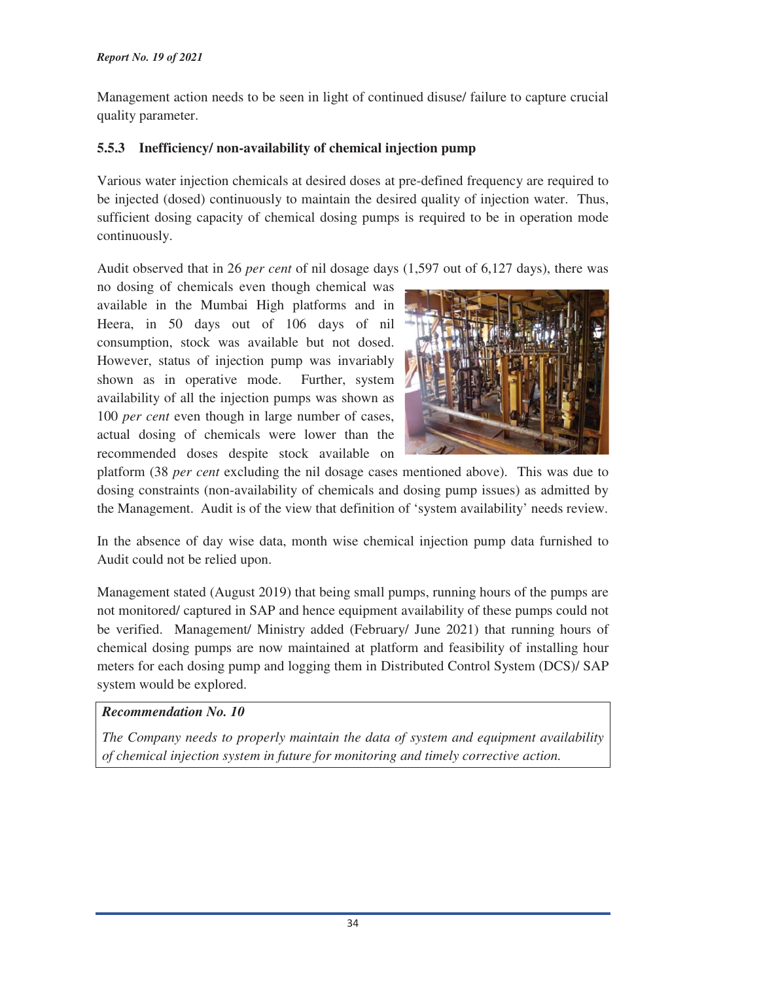Management action needs to be seen in light of continued disuse/ failure to capture crucial quality parameter.

# **5.5.3 Inefficiency/ non-availability of chemical injection pump**

Various water injection chemicals at desired doses at pre-defined frequency are required to be injected (dosed) continuously to maintain the desired quality of injection water. Thus, sufficient dosing capacity of chemical dosing pumps is required to be in operation mode continuously.

Audit observed that in 26 *per cent* of nil dosage days (1,597 out of 6,127 days), there was

no dosing of chemicals even though chemical was available in the Mumbai High platforms and in Heera, in 50 days out of 106 days of nil consumption, stock was available but not dosed. However, status of injection pump was invariably shown as in operative mode. Further, system availability of all the injection pumps was shown as 100 *per cent* even though in large number of cases, actual dosing of chemicals were lower than the recommended doses despite stock available on



platform (38 *per cent* excluding the nil dosage cases mentioned above). This was due to dosing constraints (non-availability of chemicals and dosing pump issues) as admitted by the Management. Audit is of the view that definition of 'system availability' needs review.

In the absence of day wise data, month wise chemical injection pump data furnished to Audit could not be relied upon.

Management stated (August 2019) that being small pumps, running hours of the pumps are not monitored/ captured in SAP and hence equipment availability of these pumps could not be verified. Management/ Ministry added (February/ June 2021) that running hours of chemical dosing pumps are now maintained at platform and feasibility of installing hour meters for each dosing pump and logging them in Distributed Control System (DCS)/ SAP system would be explored.

# *Recommendation No. 10*

*The Company needs to properly maintain the data of system and equipment availability of chemical injection system in future for monitoring and timely corrective action.*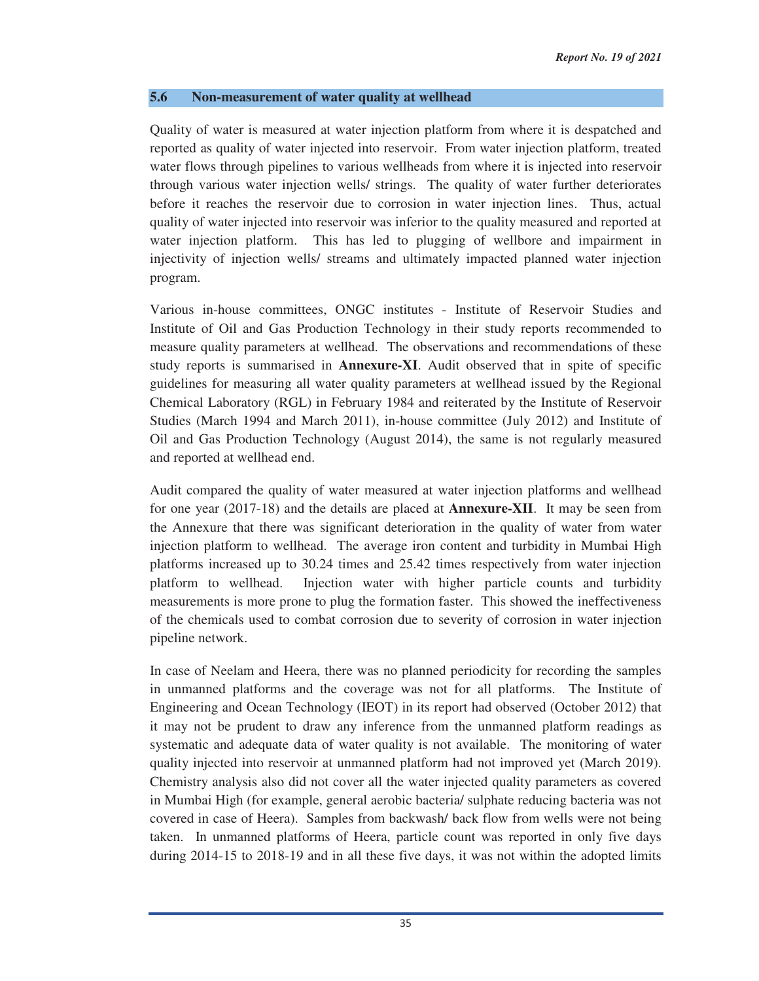#### **5.6 Non-measurement of water quality at wellhead**

Quality of water is measured at water injection platform from where it is despatched and reported as quality of water injected into reservoir. From water injection platform, treated water flows through pipelines to various wellheads from where it is injected into reservoir through various water injection wells/ strings. The quality of water further deteriorates before it reaches the reservoir due to corrosion in water injection lines. Thus, actual quality of water injected into reservoir was inferior to the quality measured and reported at water injection platform. This has led to plugging of wellbore and impairment in injectivity of injection wells/ streams and ultimately impacted planned water injection program.

Various in-house committees, ONGC institutes - Institute of Reservoir Studies and Institute of Oil and Gas Production Technology in their study reports recommended to measure quality parameters at wellhead. The observations and recommendations of these study reports is summarised in **Annexure-XI**. Audit observed that in spite of specific guidelines for measuring all water quality parameters at wellhead issued by the Regional Chemical Laboratory (RGL) in February 1984 and reiterated by the Institute of Reservoir Studies (March 1994 and March 2011), in-house committee (July 2012) and Institute of Oil and Gas Production Technology (August 2014), the same is not regularly measured and reported at wellhead end.

Audit compared the quality of water measured at water injection platforms and wellhead for one year (2017-18) and the details are placed at **Annexure-XII**. It may be seen from the Annexure that there was significant deterioration in the quality of water from water injection platform to wellhead. The average iron content and turbidity in Mumbai High platforms increased up to 30.24 times and 25.42 times respectively from water injection platform to wellhead. Injection water with higher particle counts and turbidity measurements is more prone to plug the formation faster. This showed the ineffectiveness of the chemicals used to combat corrosion due to severity of corrosion in water injection pipeline network.

In case of Neelam and Heera, there was no planned periodicity for recording the samples in unmanned platforms and the coverage was not for all platforms. The Institute of Engineering and Ocean Technology (IEOT) in its report had observed (October 2012) that it may not be prudent to draw any inference from the unmanned platform readings as systematic and adequate data of water quality is not available. The monitoring of water quality injected into reservoir at unmanned platform had not improved yet (March 2019). Chemistry analysis also did not cover all the water injected quality parameters as covered in Mumbai High (for example, general aerobic bacteria/ sulphate reducing bacteria was not covered in case of Heera). Samples from backwash/ back flow from wells were not being taken. In unmanned platforms of Heera, particle count was reported in only five days during 2014-15 to 2018-19 and in all these five days, it was not within the adopted limits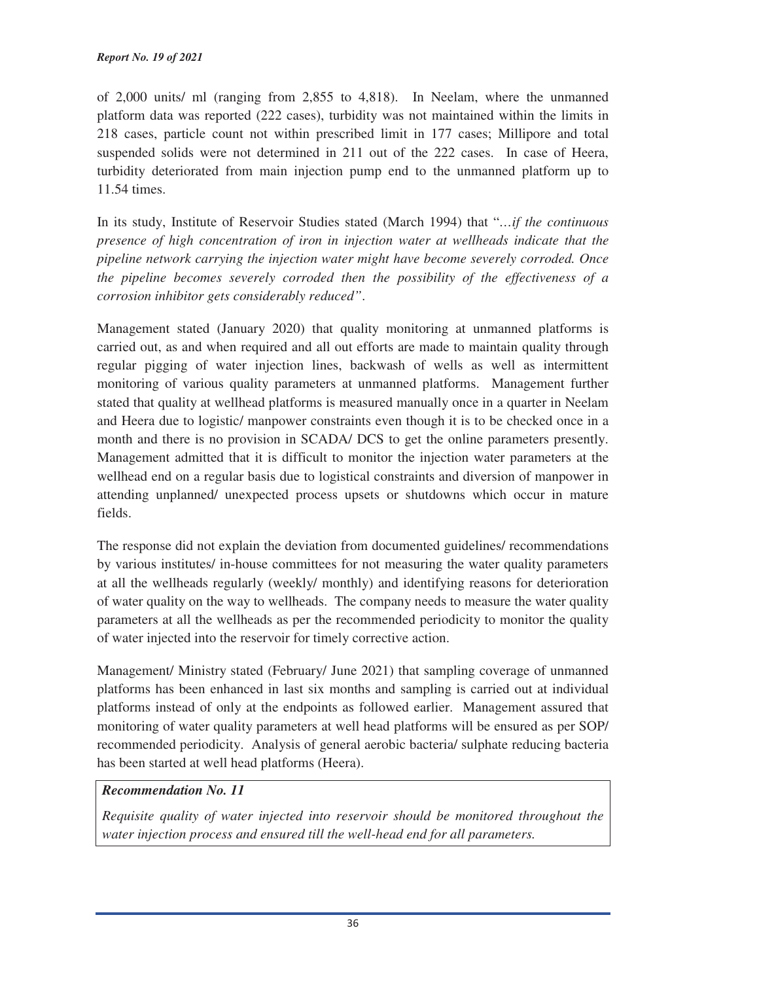of 2,000 units/ ml (ranging from 2,855 to 4,818). In Neelam, where the unmanned platform data was reported (222 cases), turbidity was not maintained within the limits in 218 cases, particle count not within prescribed limit in 177 cases; Millipore and total suspended solids were not determined in 211 out of the 222 cases. In case of Heera, turbidity deteriorated from main injection pump end to the unmanned platform up to 11.54 times.

In its study, Institute of Reservoir Studies stated (March 1994) that "*…if the continuous presence of high concentration of iron in injection water at wellheads indicate that the pipeline network carrying the injection water might have become severely corroded. Once the pipeline becomes severely corroded then the possibility of the effectiveness of a corrosion inhibitor gets considerably reduced"*.

Management stated (January 2020) that quality monitoring at unmanned platforms is carried out, as and when required and all out efforts are made to maintain quality through regular pigging of water injection lines, backwash of wells as well as intermittent monitoring of various quality parameters at unmanned platforms. Management further stated that quality at wellhead platforms is measured manually once in a quarter in Neelam and Heera due to logistic/ manpower constraints even though it is to be checked once in a month and there is no provision in SCADA/ DCS to get the online parameters presently. Management admitted that it is difficult to monitor the injection water parameters at the wellhead end on a regular basis due to logistical constraints and diversion of manpower in attending unplanned/ unexpected process upsets or shutdowns which occur in mature fields.

The response did not explain the deviation from documented guidelines/ recommendations by various institutes/ in-house committees for not measuring the water quality parameters at all the wellheads regularly (weekly/ monthly) and identifying reasons for deterioration of water quality on the way to wellheads. The company needs to measure the water quality parameters at all the wellheads as per the recommended periodicity to monitor the quality of water injected into the reservoir for timely corrective action.

Management/ Ministry stated (February/ June 2021) that sampling coverage of unmanned platforms has been enhanced in last six months and sampling is carried out at individual platforms instead of only at the endpoints as followed earlier. Management assured that monitoring of water quality parameters at well head platforms will be ensured as per SOP/ recommended periodicity. Analysis of general aerobic bacteria/ sulphate reducing bacteria has been started at well head platforms (Heera).

# *Recommendation No. 11*

*Requisite quality of water injected into reservoir should be monitored throughout the water injection process and ensured till the well-head end for all parameters.*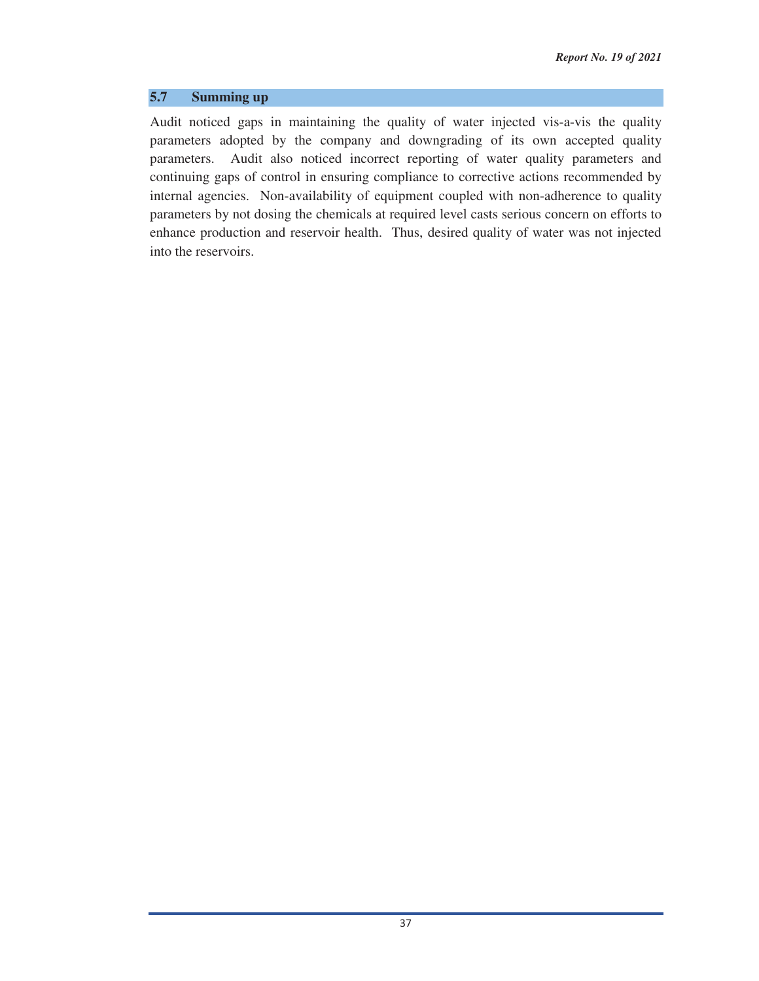#### **5.7 Summing up**

Audit noticed gaps in maintaining the quality of water injected vis-a-vis the quality parameters adopted by the company and downgrading of its own accepted quality parameters. Audit also noticed incorrect reporting of water quality parameters and continuing gaps of control in ensuring compliance to corrective actions recommended by internal agencies. Non-availability of equipment coupled with non-adherence to quality parameters by not dosing the chemicals at required level casts serious concern on efforts to enhance production and reservoir health. Thus, desired quality of water was not injected into the reservoirs.